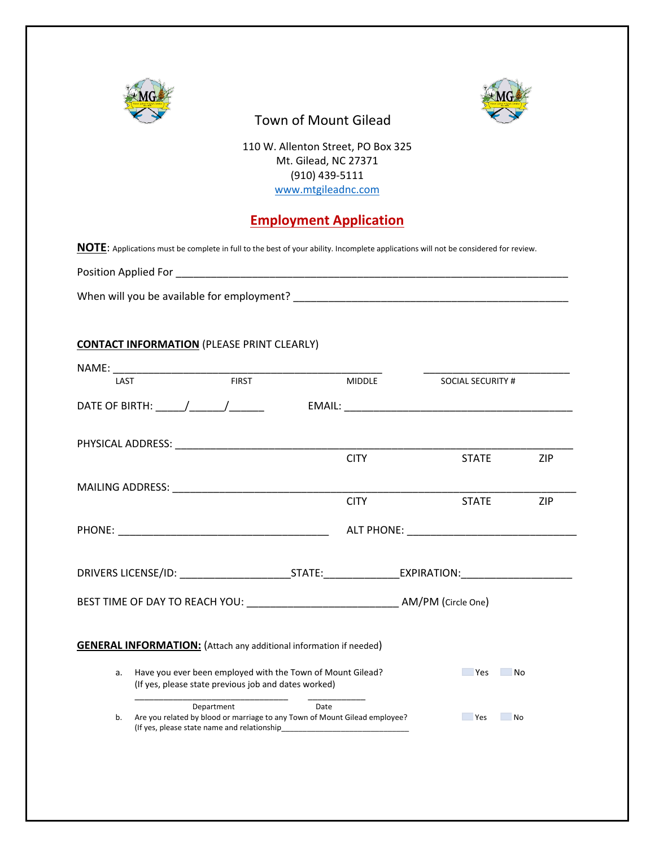



# Town of Mount Gilead

110 W. Allenton Street, PO Box 325 Mt. Gilead, NC 27371 (910) 439-5111 [www.mtgileadnc.com](http://www.mtgileadnc.com/)

## **Employment Application**

**NOTE**: Applications must be complete in full to the best of your ability. Incomplete applications will not be considered for review.

| Position Applied For |  |
|----------------------|--|
|                      |  |

When will you be available for employment? \_\_\_\_\_\_\_\_\_\_\_\_\_\_\_\_\_\_\_\_\_\_\_\_\_\_\_\_\_\_\_\_\_\_\_\_\_\_\_\_\_\_\_\_\_\_\_

### **CONTACT INFORMATION** (PLEASE PRINT CLEARLY)

| LAST                                                                      |                                                                                                                                                                                                                                                                                                                                                                                                                                             | <b>FIRST</b> |      | <b>MIDDLE</b> | <b>SOCIAL SECURITY #</b> |            |
|---------------------------------------------------------------------------|---------------------------------------------------------------------------------------------------------------------------------------------------------------------------------------------------------------------------------------------------------------------------------------------------------------------------------------------------------------------------------------------------------------------------------------------|--------------|------|---------------|--------------------------|------------|
|                                                                           | DATE OF BIRTH: $\frac{1}{\frac{1}{2} \cdot \frac{1}{2} \cdot \frac{1}{2} \cdot \frac{1}{2} \cdot \frac{1}{2} \cdot \frac{1}{2} \cdot \frac{1}{2} \cdot \frac{1}{2} \cdot \frac{1}{2} \cdot \frac{1}{2} \cdot \frac{1}{2} \cdot \frac{1}{2} \cdot \frac{1}{2} \cdot \frac{1}{2} \cdot \frac{1}{2} \cdot \frac{1}{2} \cdot \frac{1}{2} \cdot \frac{1}{2} \cdot \frac{1}{2} \cdot \frac{1}{2} \cdot \frac{1}{2} \cdot \frac{1}{2} \cdot \frac$ |              |      |               |                          |            |
|                                                                           |                                                                                                                                                                                                                                                                                                                                                                                                                                             |              |      | <b>CITY</b>   | <b>STATE</b>             | <b>ZIP</b> |
|                                                                           |                                                                                                                                                                                                                                                                                                                                                                                                                                             |              |      |               |                          |            |
|                                                                           |                                                                                                                                                                                                                                                                                                                                                                                                                                             |              |      | <b>CITY</b>   | <b>STATE</b>             | <b>ZIP</b> |
|                                                                           |                                                                                                                                                                                                                                                                                                                                                                                                                                             |              |      |               |                          |            |
|                                                                           |                                                                                                                                                                                                                                                                                                                                                                                                                                             |              |      |               |                          |            |
|                                                                           |                                                                                                                                                                                                                                                                                                                                                                                                                                             |              |      |               |                          |            |
| <b>GENERAL INFORMATION:</b> (Attach any additional information if needed) |                                                                                                                                                                                                                                                                                                                                                                                                                                             |              |      |               |                          |            |
|                                                                           | Have you ever been employed with the Town of Mount Gilead?<br><b>Paragona</b><br>N <sub>o</sub><br>a.<br>(If yes, please state previous job and dates worked)                                                                                                                                                                                                                                                                               |              |      |               |                          |            |
| b.                                                                        | Department<br>Are you related by blood or marriage to any Town of Mount Gilead employee?<br>(If yes, please state name and relationship                                                                                                                                                                                                                                                                                                     |              | Date |               | <b>Provide</b> Yes       | <b>No</b>  |
|                                                                           |                                                                                                                                                                                                                                                                                                                                                                                                                                             |              |      |               |                          |            |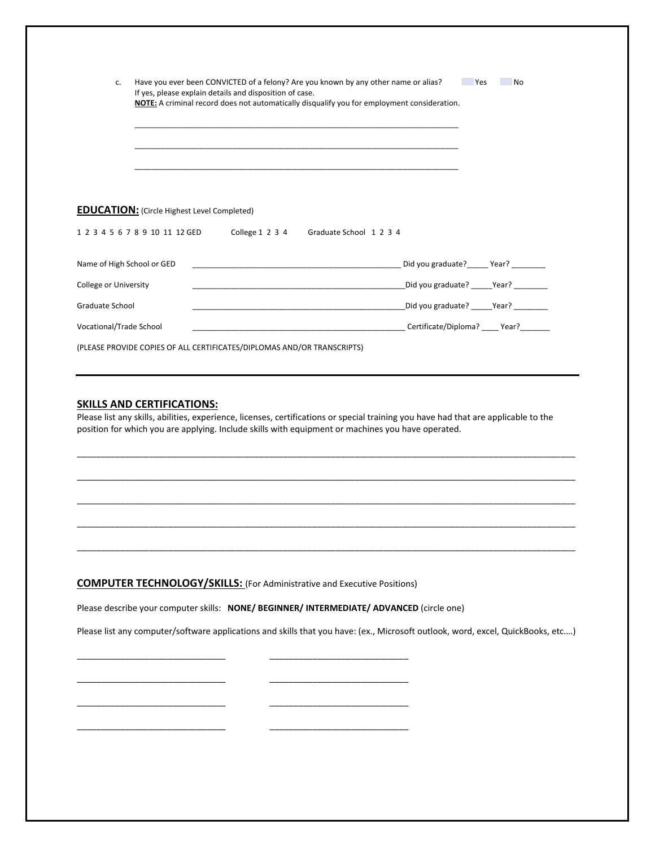| c.                                                                      |                                                    | If yes, please explain details and disposition of case. | Have you ever been CONVICTED of a felony? Are you known by any other name or alias?<br>NOTE: A criminal record does not automatically disqualify you for employment consideration. | <b>Print</b> Yes                          | <b>No</b> |
|-------------------------------------------------------------------------|----------------------------------------------------|---------------------------------------------------------|------------------------------------------------------------------------------------------------------------------------------------------------------------------------------------|-------------------------------------------|-----------|
|                                                                         |                                                    |                                                         |                                                                                                                                                                                    |                                           |           |
|                                                                         | <b>EDUCATION:</b> (Circle Highest Level Completed) |                                                         |                                                                                                                                                                                    |                                           |           |
|                                                                         |                                                    |                                                         | 1 2 3 4 5 6 7 8 9 10 11 12 GED College 1 2 3 4 Graduate School 1 2 3 4                                                                                                             |                                           |           |
| Name of High School or GED                                              |                                                    |                                                         | the contract of the contract of the contract of the contract of the contract of                                                                                                    | Did you graduate? Mear?                   |           |
| College or University                                                   |                                                    |                                                         | <u> 1989 - Johann Barbara, martxa al III-lea (h. 1989).</u>                                                                                                                        | _Did you graduate? _____Year? ________    |           |
| Graduate School                                                         |                                                    |                                                         |                                                                                                                                                                                    | Did you graduate? _______ Year? _________ |           |
| Vocational/Trade School                                                 |                                                    |                                                         | <b>Certificate/Diploma?</b> Pear?                                                                                                                                                  |                                           |           |
| (PLEASE PROVIDE COPIES OF ALL CERTIFICATES/DIPLOMAS AND/OR TRANSCRIPTS) |                                                    |                                                         |                                                                                                                                                                                    |                                           |           |

#### **SKILLS AND CERTIFICATIONS:**

Please list any skills, abilities, experience, licenses, certifications or special training you have had that are applicable to the position for which you are applying. Include skills with equipment or machines you have operated.

\_\_\_\_\_\_\_\_\_\_\_\_\_\_\_\_\_\_\_\_\_\_\_\_\_\_\_\_\_\_\_\_\_\_\_\_\_\_\_\_\_\_\_\_\_\_\_\_\_\_\_\_\_\_\_\_\_\_\_\_\_\_\_\_\_\_\_\_\_\_\_\_\_\_\_\_\_\_\_\_\_\_\_\_\_\_\_\_\_\_\_\_\_\_\_\_\_\_\_\_\_\_\_\_

\_\_\_\_\_\_\_\_\_\_\_\_\_\_\_\_\_\_\_\_\_\_\_\_\_\_\_\_\_\_\_\_\_\_\_\_\_\_\_\_\_\_\_\_\_\_\_\_\_\_\_\_\_\_\_\_\_\_\_\_\_\_\_\_\_\_\_\_\_\_\_\_\_\_\_\_\_\_\_\_\_\_\_\_\_\_\_\_\_\_\_\_\_\_\_\_\_\_\_\_\_\_\_\_

\_\_\_\_\_\_\_\_\_\_\_\_\_\_\_\_\_\_\_\_\_\_\_\_\_\_\_\_\_\_\_\_\_\_\_\_\_\_\_\_\_\_\_\_\_\_\_\_\_\_\_\_\_\_\_\_\_\_\_\_\_\_\_\_\_\_\_\_\_\_\_\_\_\_\_\_\_\_\_\_\_\_\_\_\_\_\_\_\_\_\_\_\_\_\_\_\_\_\_\_\_\_\_\_

\_\_\_\_\_\_\_\_\_\_\_\_\_\_\_\_\_\_\_\_\_\_\_\_\_\_\_\_\_\_\_\_\_\_\_\_\_\_\_\_\_\_\_\_\_\_\_\_\_\_\_\_\_\_\_\_\_\_\_\_\_\_\_\_\_\_\_\_\_\_\_\_\_\_\_\_\_\_\_\_\_\_\_\_\_\_\_\_\_\_\_\_\_\_\_\_\_\_\_\_\_\_\_\_

\_\_\_\_\_\_\_\_\_\_\_\_\_\_\_\_\_\_\_\_\_\_\_\_\_\_\_\_\_\_\_\_\_\_\_\_\_\_\_\_\_\_\_\_\_\_\_\_\_\_\_\_\_\_\_\_\_\_\_\_\_\_\_\_\_\_\_\_\_\_\_\_\_\_\_\_\_\_\_\_\_\_\_\_\_\_\_\_\_\_\_\_\_\_\_\_\_\_\_\_\_\_\_\_

**COMPUTER TECHNOLOGY/SKILLS:** (For Administrative and Executive Positions)

\_\_\_\_\_\_\_\_\_\_\_\_\_\_\_\_\_\_\_\_\_\_\_\_\_\_\_\_\_\_\_ \_\_\_\_\_\_\_\_\_\_\_\_\_\_\_\_\_\_\_\_\_\_\_\_\_\_\_\_\_

\_\_\_\_\_\_\_\_\_\_\_\_\_\_\_\_\_\_\_\_\_\_\_\_\_\_\_\_\_\_\_ \_\_\_\_\_\_\_\_\_\_\_\_\_\_\_\_\_\_\_\_\_\_\_\_\_\_\_\_\_

\_\_\_\_\_\_\_\_\_\_\_\_\_\_\_\_\_\_\_\_\_\_\_\_\_\_\_\_\_\_\_ \_\_\_\_\_\_\_\_\_\_\_\_\_\_\_\_\_\_\_\_\_\_\_\_\_\_\_\_\_

\_\_\_\_\_\_\_\_\_\_\_\_\_\_\_\_\_\_\_\_\_\_\_\_\_\_\_\_\_\_\_ \_\_\_\_\_\_\_\_\_\_\_\_\_\_\_\_\_\_\_\_\_\_\_\_\_\_\_\_\_

Please describe your computer skills: **NONE/ BEGINNER/ INTERMEDIATE/ ADVANCED** (circle one)

Please list any computer/software applications and skills that you have: (ex., Microsoft outlook, word, excel, QuickBooks, etc.…)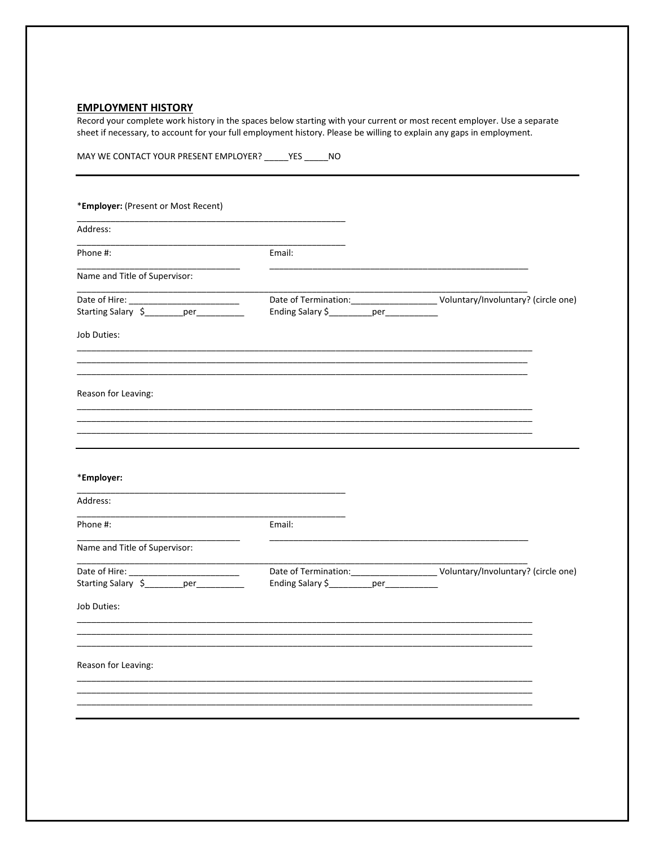## **EMPLOYMENT HISTORY**

Record your complete work history in the spaces below starting with your current or most recent employer. Use a separate sheet if necessary, to account for your full employment history. Please be willing to explain any gaps in employment.

|                                     | MAY WE CONTACT YOUR PRESENT EMPLOYER? _____ YES _____ NO |  |
|-------------------------------------|----------------------------------------------------------|--|
| *Employer: (Present or Most Recent) |                                                          |  |
| Address:                            |                                                          |  |
| Phone #:                            | Email:                                                   |  |
| Name and Title of Supervisor:       |                                                          |  |
|                                     | Ending Salary \$___________per___________                |  |
| Job Duties:                         |                                                          |  |
| Reason for Leaving:                 |                                                          |  |
|                                     |                                                          |  |
| *Employer:                          |                                                          |  |
| Address:                            |                                                          |  |
| Phone #:                            | Email:                                                   |  |
| Name and Title of Supervisor:       |                                                          |  |
|                                     | Ending Salary \$__________per__________                  |  |
| Job Duties:                         |                                                          |  |
| Reason for Leaving:                 |                                                          |  |
|                                     |                                                          |  |
|                                     |                                                          |  |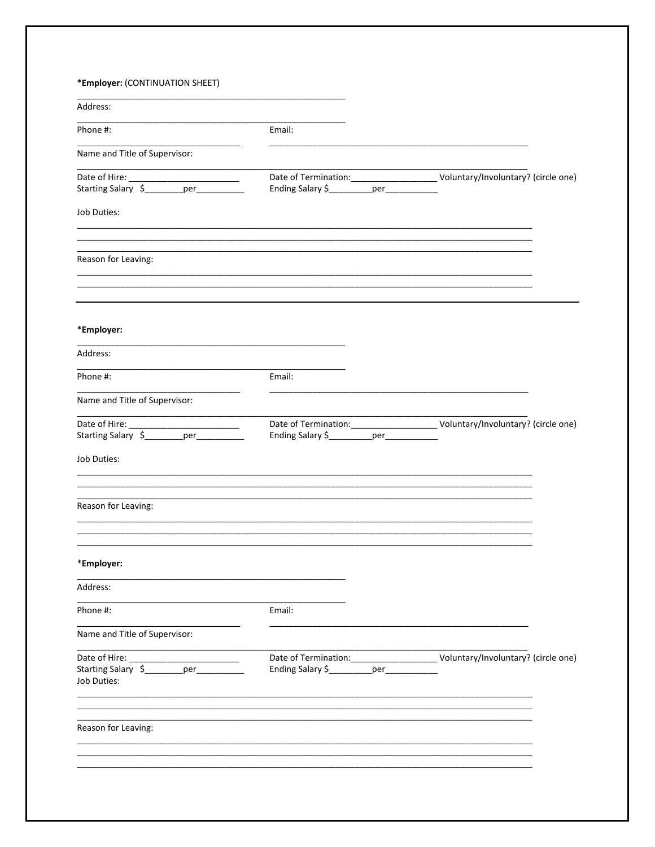| Address:                                              |                                           |  |  |
|-------------------------------------------------------|-------------------------------------------|--|--|
| Phone #:                                              | Email:                                    |  |  |
| Name and Title of Supervisor:                         |                                           |  |  |
|                                                       | Ending Salary \$___________per___________ |  |  |
| Job Duties:                                           |                                           |  |  |
|                                                       |                                           |  |  |
| Reason for Leaving:                                   |                                           |  |  |
|                                                       |                                           |  |  |
| *Employer:                                            |                                           |  |  |
| Address:                                              |                                           |  |  |
| Phone #:                                              | Email:                                    |  |  |
| Name and Title of Supervisor:                         |                                           |  |  |
|                                                       | Ending Salary \$___________per___________ |  |  |
| Job Duties:                                           |                                           |  |  |
|                                                       |                                           |  |  |
| Reason for Leaving:                                   |                                           |  |  |
|                                                       |                                           |  |  |
| *Employer:                                            |                                           |  |  |
| Address:                                              |                                           |  |  |
| Phone #:                                              | Email:                                    |  |  |
| Name and Title of Supervisor:                         |                                           |  |  |
|                                                       |                                           |  |  |
| Starting Salary \$________per_________<br>Job Duties: | Ending Salary \$ ________ per _________   |  |  |
| Reason for Leaving:                                   |                                           |  |  |
|                                                       |                                           |  |  |